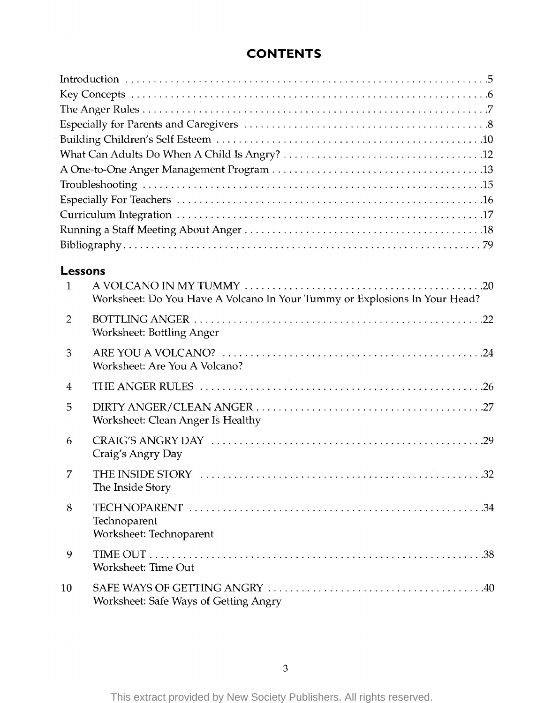## **CONTENTS**

| 1              | Lessons                                                                    |
|----------------|----------------------------------------------------------------------------|
|                | Worksheet: Do You Have A Volcano In Your Tummy or Explosions In Your Head? |
| $\overline{2}$ | Worksheet: Bottling Anger                                                  |
| 3              | Worksheet: Are You A Volcano?                                              |
| $\overline{4}$ |                                                                            |
| 5              | Worksheet: Clean Anger Is Healthy                                          |
| 6              | Craig's Angry Day                                                          |
| 7              | The Inside Story                                                           |
| 8              | Technoparent<br>Worksheet: Technoparent                                    |
| 9              | Worksheet: Time Out                                                        |
| 10             | Worksheet: Safe Ways of Getting Angry                                      |